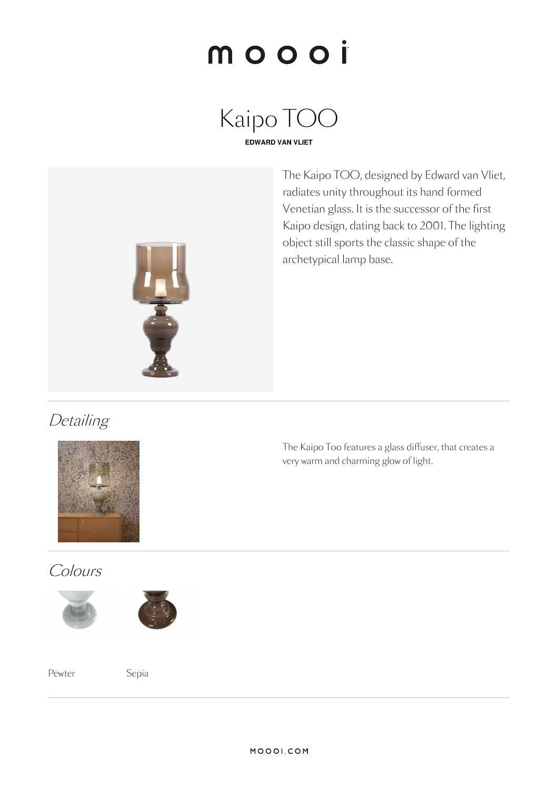# moooi

Kaipo TOO **EDWARD VAN VLIET**



The Kaipo TOO, designed by Edward van Vliet, radiates unity throughout its hand formed Venetian glass. It is the successor of the first Kaipo design, dating back to 2001. The lighting object still sports the classic shape of the archetypical lamp base.

**Detailing** 



# Colours





Pewter Sepia

The Kaipo Too features a glass diffuser, that creates a very warm and charming glow of light.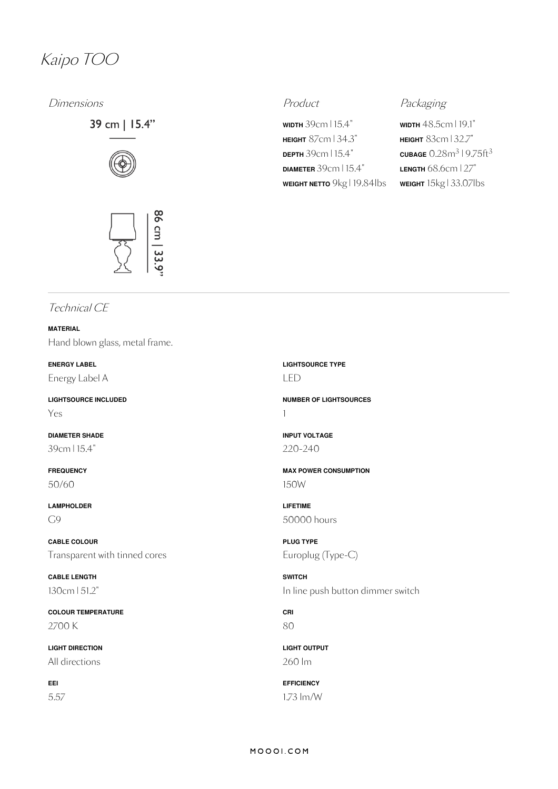# Kaipo TOO

Dimensions **Product** Product **Product** Packaging

39 cm | 15.4"





**WIDTH** 39cm | 15.4" **HEIGHT** 87cm | 34.3" **DEPTH** 39cm | 15.4" **DIAMETER** 39cm | 15.4" **WEIGHT NETTO** 9kg | 19.84lbs

**WIDTH** 48.5cm | 19.1" **HEIGHT** 83cm | 32.7"  $\frac{\text{CUBAGE}}{0.28}$ m $\frac{3}{19.75}$ ft $\frac{3}{3}$ **LENGTH** 68.6cm | 27" **WEIGHT** 15kg | 33.07lbs

### Technical CE

**MATERIAL** Hand blown glass, metal frame.

**ENERGY LABEL** Energy Label A

**LIGHTSOURCE INCLUDED** Yes

**DIAMETER SHADE** 39cm | 15.4"

**FREQUENCY** 50/60

**LAMPHOLDER** G9

**CABLE COLOUR** Transparent with tinned cores

**CABLE LENGTH** 130cm |51.2"

**COLOUR TEMPERATURE** 2700 K

**LIGHT DIRECTION** All directions

**EEI** 5.57 **LIGHTSOURCE TYPE** LED

**NUMBER OF LIGHTSOURCES** 1

**INPUT VOLTAGE** 220-240

**MAX POWER CONSUMPTION** 150W

**LIFETIME** 50000 hours

**PLUG TYPE** Europlug (Type-C)

**SWITCH** In line push button dimmer switch

**CRI** 80

**LIGHT OUTPUT** 260 lm

**EFFICIENCY** 1.73 lm/W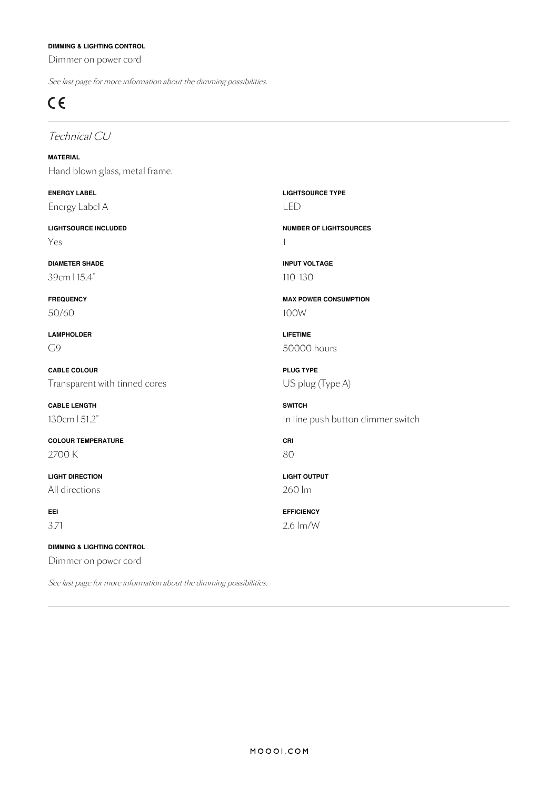### **DIMMING & LIGHTING CONTROL**

Dimmer on power cord

See last page for more information about the dimming possibilities.

# $C \in$

### Technical CU

**MATERIAL** Hand blown glass, metal frame.

**ENERGY LABEL** Energy Label A

**LIGHTSOURCE INCLUDED** Yes

**DIAMETER SHADE** 39cm | 15.4"

**FREQUENCY** 50/60

**LAMPHOLDER**  $\bigcap$ 

**CABLE COLOUR** Transparent with tinned cores

**CABLE LENGTH** 130cm |51.2"

**COLOUR TEMPERATURE** 2700 K

**LIGHT DIRECTION** All directions

**EEI** 3.71

**DIMMING & LIGHTING CONTROL** Dimmer on power cord

See last page for more information about the dimming possibilities.

**LIGHTSOURCE TYPE** LED

**NUMBER OF LIGHTSOURCES** 1

**INPUT VOLTAGE** 110-130

**MAX POWER CONSUMPTION** 100W

**LIFETIME** 50000 hours

**PLUG TYPE** US plug (Type A)

**SWITCH** In line push button dimmer switch

**CRI** 80

**LIGHT OUTPUT** 260 lm

**EFFICIENCY** 2.6 lm/W